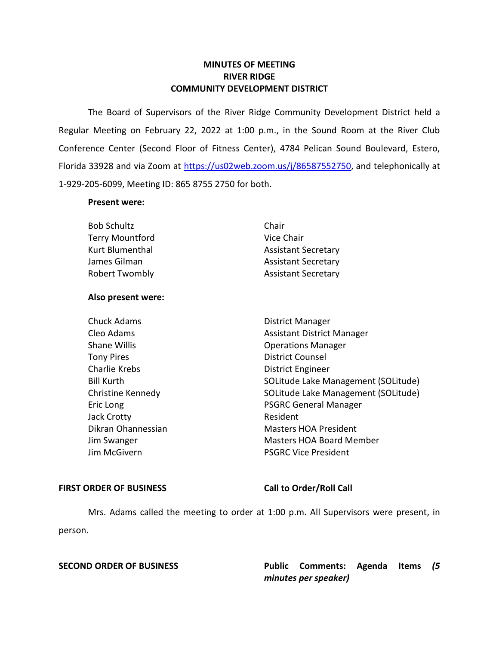## **MINUTES OF MEETING RIVER RIDGE COMMUNITY DEVELOPMENT DISTRICT**

 The Board of Supervisors of the River Ridge Community Development District held a Regular Meeting on February 22, 2022 at 1:00 p.m., in the Sound Room at the River Club Conference Center (Second Floor of Fitness Center), 4784 Pelican Sound Boulevard, Estero, Florida 33928 and via Zoom at [https://us02web.zoom.us/j/86587552750,](https://us02web.zoom.us/j/86587552750) and telephonically at 1-929-205-6099, Meeting ID: 865 8755 2750 for both.

## **Present were:**

| <b>Bob Schultz</b>     | Chair                      |
|------------------------|----------------------------|
| <b>Terry Mountford</b> | Vice Chair                 |
| Kurt Blumenthal        | <b>Assistant Secretary</b> |
| James Gilman           | <b>Assistant Secretary</b> |
| <b>Robert Twombly</b>  | <b>Assistant Secretary</b> |

## **Also present were:**

| Chuck Adams          |
|----------------------|
| Cleo Adams           |
| <b>Shane Willis</b>  |
| <b>Tony Pires</b>    |
| <b>Charlie Krebs</b> |
| <b>Bill Kurth</b>    |
| Christine Kennedy    |
| Eric Long            |
| <b>Jack Crotty</b>   |
| Dikran Ohannessian   |
| Jim Swanger          |
| Jim McGivern         |
|                      |

**Chuck Adams District Manager** Assistant District Manager **Operations Manager** District Counsel District Engineer SOLitude Lake Management (SOLitude) SOLitude Lake Management (SOLitude) PSGRC General Manager Resident **Masters HOA President** Masters HOA Board Member PSGRC Vice President

## FIRST ORDER OF BUSINESS Call to Order/Roll Call

Mrs. Adams called the meeting to order at 1:00 p.m. All Supervisors were present, in person.

**SECOND ORDER OF BUSINESS Public Comments: Agenda Items** *(5 minutes per speaker)*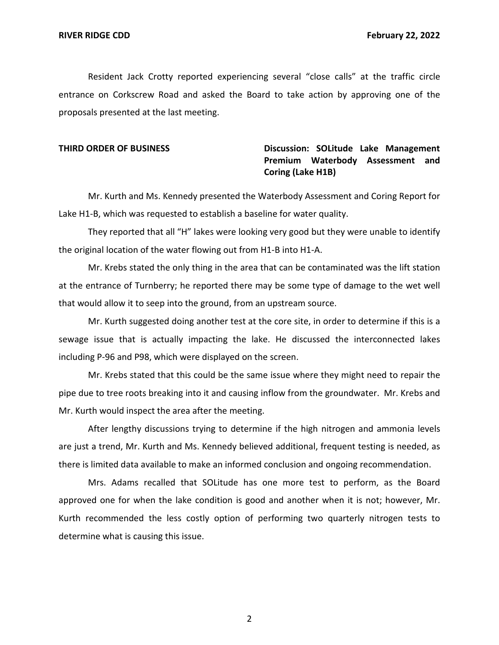Resident Jack Crotty reported experiencing several "close calls" at the traffic circle entrance on Corkscrew Road and asked the Board to take action by approving one of the proposals presented at the last meeting.

# **THIRD ORDER OF BUSINESS Discussion: SOLitude Lake Management Premium Waterbody Assessment and Coring (Lake H1B)**

Mr. Kurth and Ms. Kennedy presented the Waterbody Assessment and Coring Report for Lake H1-B, which was requested to establish a baseline for water quality.

They reported that all "H" lakes were looking very good but they were unable to identify the original location of the water flowing out from H1-B into H1-A.

Mr. Krebs stated the only thing in the area that can be contaminated was the lift station at the entrance of Turnberry; he reported there may be some type of damage to the wet well that would allow it to seep into the ground, from an upstream source.

Mr. Kurth suggested doing another test at the core site, in order to determine if this is a sewage issue that is actually impacting the lake. He discussed the interconnected lakes including P-96 and P98, which were displayed on the screen.

Mr. Krebs stated that this could be the same issue where they might need to repair the pipe due to tree roots breaking into it and causing inflow from the groundwater. Mr. Krebs and Mr. Kurth would inspect the area after the meeting.

After lengthy discussions trying to determine if the high nitrogen and ammonia levels are just a trend, Mr. Kurth and Ms. Kennedy believed additional, frequent testing is needed, as there is limited data available to make an informed conclusion and ongoing recommendation.

Mrs. Adams recalled that SOLitude has one more test to perform, as the Board approved one for when the lake condition is good and another when it is not; however, Mr. Kurth recommended the less costly option of performing two quarterly nitrogen tests to determine what is causing this issue.

2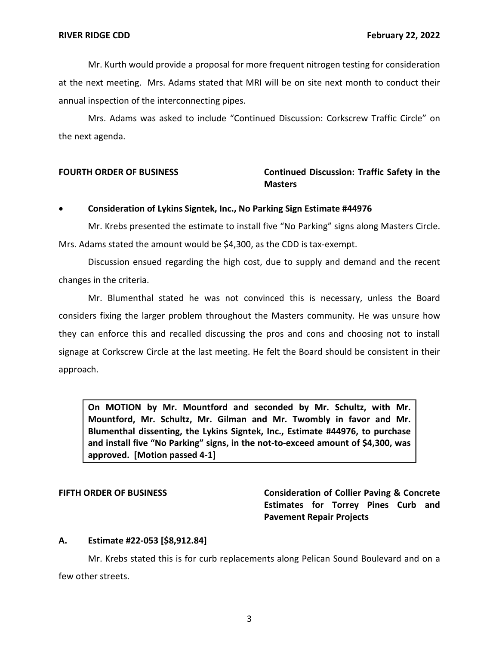Mr. Kurth would provide a proposal for more frequent nitrogen testing for consideration at the next meeting. Mrs. Adams stated that MRI will be on site next month to conduct their annual inspection of the interconnecting pipes.

Mrs. Adams was asked to include "Continued Discussion: Corkscrew Traffic Circle" on the next agenda.

## **FOURTH ORDER OF BUSINESS Continued Discussion: Traffic Safety in the Masters**

## • **Consideration of Lykins Signtek, Inc., No Parking Sign Estimate #44976**

Mr. Krebs presented the estimate to install five "No Parking" signs along Masters Circle. Mrs. Adams stated the amount would be \$4,300, as the CDD is tax-exempt.

Discussion ensued regarding the high cost, due to supply and demand and the recent changes in the criteria.

Mr. Blumenthal stated he was not convinced this is necessary, unless the Board considers fixing the larger problem throughout the Masters community. He was unsure how they can enforce this and recalled discussing the pros and cons and choosing not to install signage at Corkscrew Circle at the last meeting. He felt the Board should be consistent in their approach.

 **On MOTION by Mr. Mountford and seconded by Mr. Schultz, with Mr. Mountford, Mr. Schultz, Mr. Gilman and Mr. Twombly in favor and Mr. Blumenthal dissenting, the Lykins Signtek, Inc., Estimate #44976, to purchase and install five "No Parking" signs, in the not-to-exceed amount of \$4,300, was approved. [Motion passed 4-1]** 

**FIFTH ORDER OF BUSINESS Consideration of Collier Paving & Concrete Estimates for Torrey Pines Curb and Pavement Repair Projects** 

## **A. Estimate #22-053 [[\\$8,912.84](https://8,912.84)]**

Mr. Krebs stated this is for curb replacements along Pelican Sound Boulevard and on a few other streets.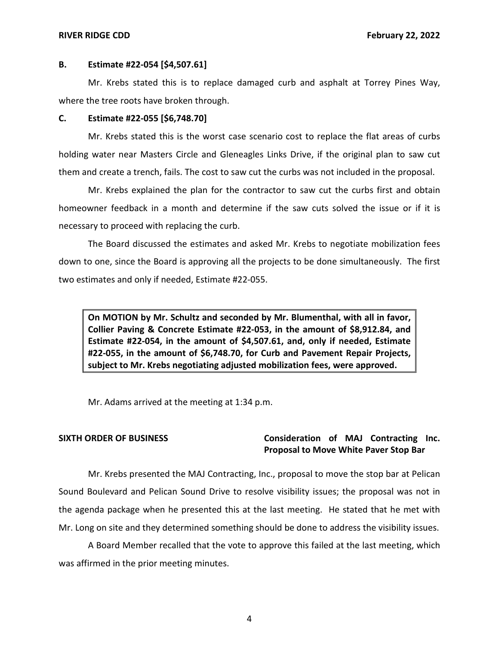## **B. Estimate #22-054 [[\\$4,507.61](https://4,507.61)]**

Mr. Krebs stated this is to replace damaged curb and asphalt at Torrey Pines Way, where the tree roots have broken through.

## **C. Estimate #22-055 [[\\$6,748.70](https://6,748.70)]**

Mr. Krebs stated this is the worst case scenario cost to replace the flat areas of curbs holding water near Masters Circle and Gleneagles Links Drive, if the original plan to saw cut them and create a trench, fails. The cost to saw cut the curbs was not included in the proposal.

Mr. Krebs explained the plan for the contractor to saw cut the curbs first and obtain homeowner feedback in a month and determine if the saw cuts solved the issue or if it is necessary to proceed with replacing the curb.

The Board discussed the estimates and asked Mr. Krebs to negotiate mobilization fees down to one, since the Board is approving all the projects to be done simultaneously. The first two estimates and only if needed, Estimate #22-055.

 **On MOTION by Mr. Schultz and seconded by Mr. Blumenthal, with all in favor, Collier Paving & Concrete Estimate #22-053, in the amount of [\\$8,912.84](https://8,912.84), and Estimate #22-054, in the amount of [\\$4,507.61](https://4,507.61), and, only if needed, Estimate #22-055, in the amount of [\\$6,748.70](https://6,748.70), for Curb and Pavement Repair Projects, subject to Mr. Krebs negotiating adjusted mobilization fees, were approved.** 

Mr. Adams arrived at the meeting at 1:34 p.m.

## **SIXTH ORDER OF BUSINESS Consideration of MAJ Contracting Inc. Proposal to Move White Paver Stop Bar**

Mr. Krebs presented the MAJ Contracting, Inc., proposal to move the stop bar at Pelican Sound Boulevard and Pelican Sound Drive to resolve visibility issues; the proposal was not in the agenda package when he presented this at the last meeting. He stated that he met with Mr. Long on site and they determined something should be done to address the visibility issues.

A Board Member recalled that the vote to approve this failed at the last meeting, which was affirmed in the prior meeting minutes.

4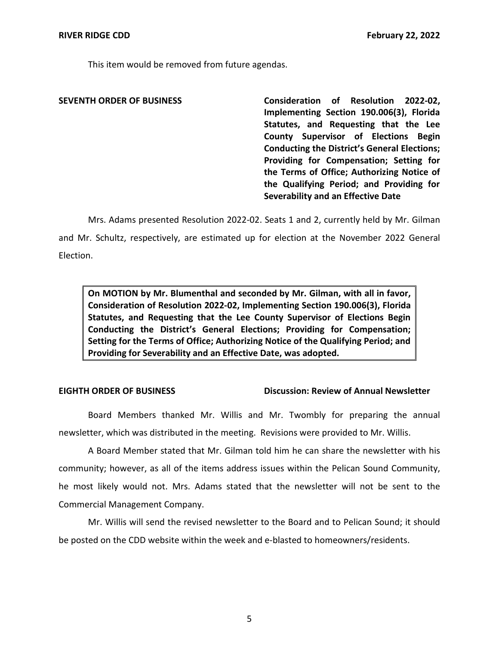This item would be removed from future agendas.

 **SEVENTH ORDER OF BUSINESS Consideration of Resolution 2022-02, Implementing Section 190.006(3), Florida Statutes, and Requesting that the Lee County Supervisor of Elections Begin Conducting the District's General Elections; Providing for Compensation; Setting for the Terms of Office; Authorizing Notice of the Qualifying Period; and Providing for Severability and an Effective Date** 

Mrs. Adams presented Resolution 2022-02. Seats 1 and 2, currently held by Mr. Gilman and Mr. Schultz, respectively, are estimated up for election at the November 2022 General Election.

 **On MOTION by Mr. Blumenthal and seconded by Mr. Gilman, with all in favor, Consideration of Resolution 2022-02, Implementing Section 190.006(3), Florida Statutes, and Requesting that the Lee County Supervisor of Elections Begin Conducting the District's General Elections; Providing for Compensation; Setting for the Terms of Office; Authorizing Notice of the Qualifying Period; and Providing for Severability and an Effective Date, was adopted.** 

## **EIGHTH ORDER OF BUSINESS**

## **Discussion: Review of Annual Newsletter**

Board Members thanked Mr. Willis and Mr. Twombly for preparing the annual newsletter, which was distributed in the meeting. Revisions were provided to Mr. Willis.

A Board Member stated that Mr. Gilman told him he can share the newsletter with his community; however, as all of the items address issues within the Pelican Sound Community, he most likely would not. Mrs. Adams stated that the newsletter will not be sent to the Commercial Management Company.

Mr. Willis will send the revised newsletter to the Board and to Pelican Sound; it should be posted on the CDD website within the week and e-blasted to homeowners/residents.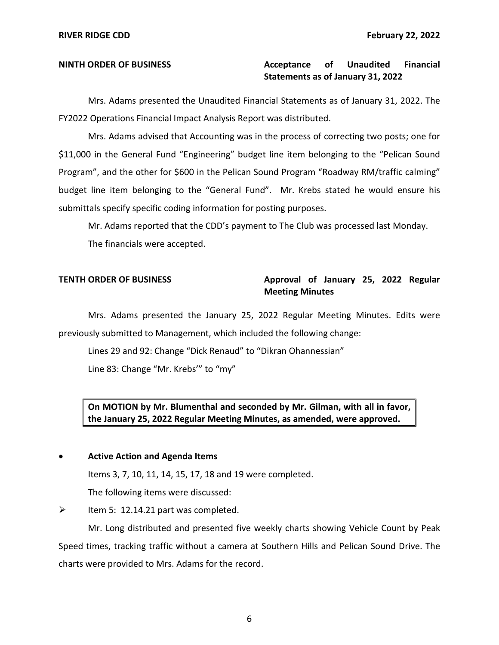# **Statements as of January 31, 2022 NINTH ORDER OF BUSINESS Acceptance of Unaudited Financial**

Mrs. Adams presented the Unaudited Financial Statements as of January 31, 2022. The FY2022 Operations Financial Impact Analysis Report was distributed.

Mrs. Adams advised that Accounting was in the process of correcting two posts; one for \$11,000 in the General Fund "Engineering" budget line item belonging to the "Pelican Sound Program", and the other for \$600 in the Pelican Sound Program "Roadway RM/traffic calming" budget line item belonging to the "General Fund". Mr. Krebs stated he would ensure his submittals specify specific coding information for posting purposes.

Mr. Adams reported that the CDD's payment to The Club was processed last Monday. The financials were accepted.

## **TENTH ORDER OF BUSINESS Approval of January 25, 2022 Regular Meeting Minutes**

 Mrs. Adams presented the January 25, 2022 Regular Meeting Minutes. Edits were previously submitted to Management, which included the following change:

Lines 29 and 92: Change "Dick Renaud" to "Dikran Ohannessian"

Line 83: Change "Mr. Krebs'" to "my"

 **On MOTION by Mr. Blumenthal and seconded by Mr. Gilman, with all in favor, the January 25, 2022 Regular Meeting Minutes, as amended, were approved.** 

## • **Active Action and Agenda Items**

Items 3, 7, 10, 11, 14, 15, 17, 18 and 19 were completed.

The following items were discussed:

## $\triangleright$  Item 5: [12.14.21](https://12.14.21) part was completed.

Mr. Long distributed and presented five weekly charts showing Vehicle Count by Peak Speed times, tracking traffic without a camera at Southern Hills and Pelican Sound Drive. The charts were provided to Mrs. Adams for the record.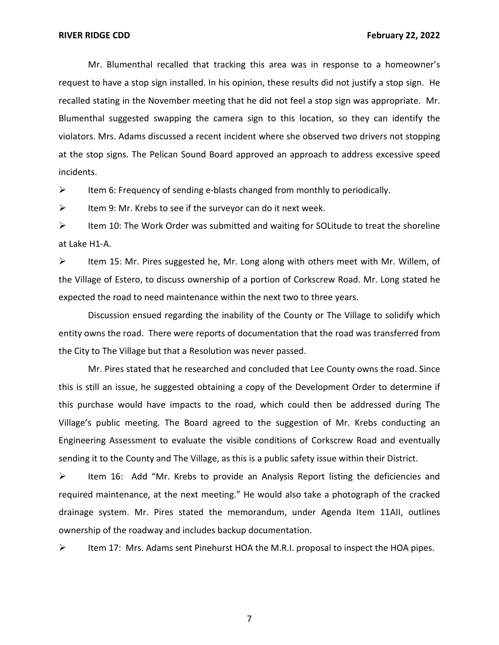Mr. Blumenthal recalled that tracking this area was in response to a homeowner's request to have a stop sign installed. In his opinion, these results did not justify a stop sign. He recalled stating in the November meeting that he did not feel a stop sign was appropriate. Mr. Blumenthal suggested swapping the camera sign to this location, so they can identify the violators. Mrs. Adams discussed a recent incident where she observed two drivers not stopping at the stop signs. The Pelican Sound Board approved an approach to address excessive speed incidents.

➢ Item 6: Frequency of sending e-blasts changed from monthly to periodically.

 $\triangleright$  Item 9: Mr. Krebs to see if the surveyor can do it next week.

 $\triangleright$  Item 10: The Work Order was submitted and waiting for SOLitude to treat the shoreline at Lake H1-A.

 $\triangleright$  Item 15: Mr. Pires suggested he, Mr. Long along with others meet with Mr. Willem, of the Village of Estero, to discuss ownership of a portion of Corkscrew Road. Mr. Long stated he expected the road to need maintenance within the next two to three years.

Discussion ensued regarding the inability of the County or The Village to solidify which entity owns the road. There were reports of documentation that the road was transferred from the City to The Village but that a Resolution was never passed.

Mr. Pires stated that he researched and concluded that Lee County owns the road. Since this is still an issue, he suggested obtaining a copy of the Development Order to determine if this purchase would have impacts to the road, which could then be addressed during The Village's public meeting. The Board agreed to the suggestion of Mr. Krebs conducting an Engineering Assessment to evaluate the visible conditions of Corkscrew Road and eventually sending it to the County and The Village, as this is a public safety issue within their District.

➢ Item 16: Add "Mr. Krebs to provide an Analysis Report listing the deficiencies and required maintenance, at the next meeting." He would also take a photograph of the cracked drainage system. Mr. Pires stated the memorandum, under Agenda Item 11AII, outlines ownership of the roadway and includes backup documentation.

➢ Item 17: Mrs. Adams sent Pinehurst HOA the M.R.I. proposal to inspect the HOA pipes.

7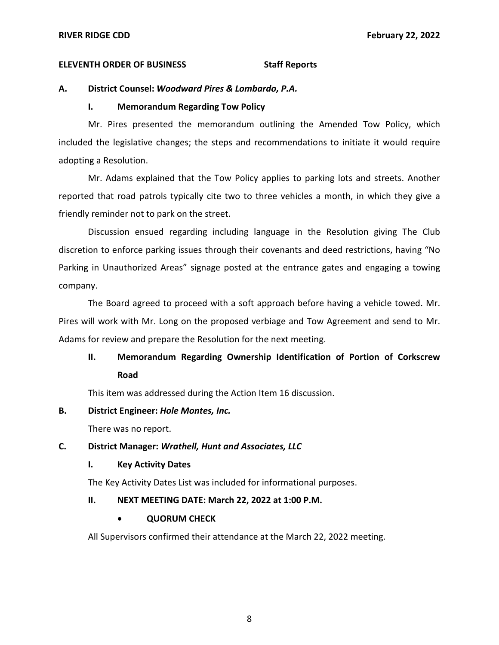## **ELEVENTH ORDER OF BUSINESS STATES STAFF REPORTS**

## **A. District Counsel:** *Woodward Pires & Lombardo, P.A.*

## **I. Memorandum Regarding Tow Policy**

Mr. Pires presented the memorandum outlining the Amended Tow Policy, which included the legislative changes; the steps and recommendations to initiate it would require adopting a Resolution.

Mr. Adams explained that the Tow Policy applies to parking lots and streets. Another reported that road patrols typically cite two to three vehicles a month, in which they give a friendly reminder not to park on the street.

Discussion ensued regarding including language in the Resolution giving The Club discretion to enforce parking issues through their covenants and deed restrictions, having "No Parking in Unauthorized Areas" signage posted at the entrance gates and engaging a towing company.

The Board agreed to proceed with a soft approach before having a vehicle towed. Mr. Pires will work with Mr. Long on the proposed verbiage and Tow Agreement and send to Mr. Adams for review and prepare the Resolution for the next meeting.

# **II. Memorandum Regarding Ownership Identification of Portion of Corkscrew Road**

This item was addressed during the Action Item 16 discussion.

## **B. District Engineer:** *Hole Montes, Inc.*

There was no report.

## **C. District Manager:** *Wrathell, Hunt and Associates, LLC*

## **I. Key Activity Dates**

The Key Activity Dates List was included for informational purposes.

## **II. NEXT MEETING DATE: March 22, 2022 at 1:00 P.M.**

## • **QUORUM CHECK**

All Supervisors confirmed their attendance at the March 22, 2022 meeting.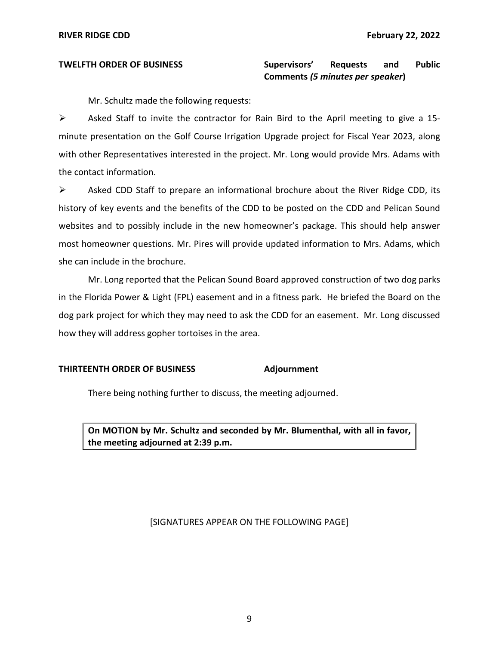## and **TWELFTH ORDER OF BUSINESS Supervisors' Requests and Public Comments** *(5 minutes per speaker***)**

Mr. Schultz made the following requests:

➢ Asked Staff to invite the contractor for Rain Bird to the April meeting to give a 15 minute presentation on the Golf Course Irrigation Upgrade project for Fiscal Year 2023, along with other Representatives interested in the project. Mr. Long would provide Mrs. Adams with the contact information.

➢ Asked CDD Staff to prepare an informational brochure about the River Ridge CDD, its history of key events and the benefits of the CDD to be posted on the CDD and Pelican Sound websites and to possibly include in the new homeowner's package. This should help answer most homeowner questions. Mr. Pires will provide updated information to Mrs. Adams, which she can include in the brochure.

Mr. Long reported that the Pelican Sound Board approved construction of two dog parks in the Florida Power & Light (FPL) easement and in a fitness park. He briefed the Board on the dog park project for which they may need to ask the CDD for an easement. Mr. Long discussed how they will address gopher tortoises in the area.

## **THIRTEENTH ORDER OF BUSINESS Adjournment**

There being nothing further to discuss, the meeting adjourned.

 **On MOTION by Mr. Schultz and seconded by Mr. Blumenthal, with all in favor, the meeting adjourned at 2:39 p.m.** 

## [SIGNATURES APPEAR ON THE FOLLOWING PAGE]